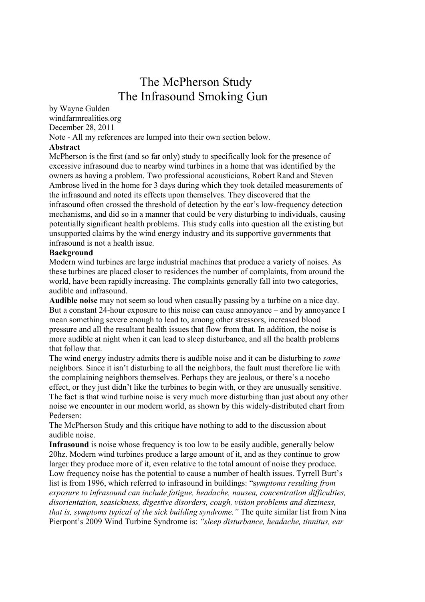# The McPherson Study The Infrasound Smoking Gun

by Wayne Gulden windfarmrealities.org December 28, 2011 Note - All my references are lumped into their own section below.

# Abstract

McPherson is the first (and so far only) study to specifically look for the presence of excessive infrasound due to nearby wind turbines in a home that was identified by the owners as having a problem. Two professional acousticians, Robert Rand and Steven Ambrose lived in the home for 3 days during which they took detailed measurements of the infrasound and noted its effects upon themselves. They discovered that the infrasound often crossed the threshold of detection by the ear's low-frequency detection mechanisms, and did so in a manner that could be very disturbing to individuals, causing potentially significant health problems. This study calls into question all the existing but unsupported claims by the wind energy industry and its supportive governments that infrasound is not a health issue.

### Background

Modern wind turbines are large industrial machines that produce a variety of noises. As these turbines are placed closer to residences the number of complaints, from around the world, have been rapidly increasing. The complaints generally fall into two categories, audible and infrasound.

Audible noise may not seem so loud when casually passing by a turbine on a nice day. But a constant 24-hour exposure to this noise can cause annoyance – and by annoyance I mean something severe enough to lead to, among other stressors, increased blood pressure and all the resultant health issues that flow from that. In addition, the noise is more audible at night when it can lead to sleep disturbance, and all the health problems that follow that.

The wind energy industry admits there is audible noise and it can be disturbing to some neighbors. Since it isn't disturbing to all the neighbors, the fault must therefore lie with the complaining neighbors themselves. Perhaps they are jealous, or there's a nocebo effect, or they just didn't like the turbines to begin with, or they are unusually sensitive. The fact is that wind turbine noise is very much more disturbing than just about any other noise we encounter in our modern world, as shown by this widely-distributed chart from Pedersen:

The McPherson Study and this critique have nothing to add to the discussion about audible noise.

Infrasound is noise whose frequency is too low to be easily audible, generally below 20hz. Modern wind turbines produce a large amount of it, and as they continue to grow larger they produce more of it, even relative to the total amount of noise they produce. Low frequency noise has the potential to cause a number of health issues. Tyrrell Burt's list is from 1996, which referred to infrasound in buildings: "symptoms resulting from exposure to infrasound can include fatigue, headache, nausea, concentration difficulties, disorientation, seasickness, digestive disorders, cough, vision problems and dizziness, that is, symptoms typical of the sick building syndrome." The quite similar list from Nina Pierpont's 2009 Wind Turbine Syndrome is: "sleep disturbance, headache, tinnitus, ear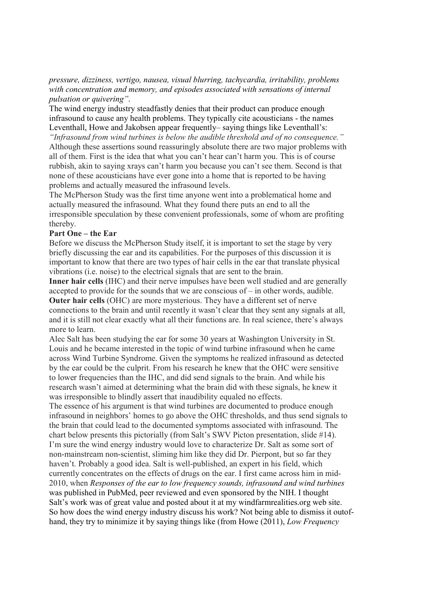pressure, dizziness, vertigo, nausea, visual blurring, tachycardia, irritability, problems with concentration and memory, and episodes associated with sensations of internal pulsation or quivering".

The wind energy industry steadfastly denies that their product can produce enough infrasound to cause any health problems. They typically cite acousticians - the names Leventhall, Howe and Jakobsen appear frequently– saying things like Leventhall's:

"Infrasound from wind turbines is below the audible threshold and of no consequence." Although these assertions sound reassuringly absolute there are two major problems with all of them. First is the idea that what you can't hear can't harm you. This is of course rubbish, akin to saying xrays can't harm you because you can't see them. Second is that none of these acousticians have ever gone into a home that is reported to be having problems and actually measured the infrasound levels.

The McPherson Study was the first time anyone went into a problematical home and actually measured the infrasound. What they found there puts an end to all the irresponsible speculation by these convenient professionals, some of whom are profiting thereby.

### Part One – the Ear

Before we discuss the McPherson Study itself, it is important to set the stage by very briefly discussing the ear and its capabilities. For the purposes of this discussion it is important to know that there are two types of hair cells in the ear that translate physical vibrations (i.e. noise) to the electrical signals that are sent to the brain.

Inner hair cells (IHC) and their nerve impulses have been well studied and are generally accepted to provide for the sounds that we are conscious of – in other words, audible. Outer hair cells (OHC) are more mysterious. They have a different set of nerve connections to the brain and until recently it wasn't clear that they sent any signals at all,

and it is still not clear exactly what all their functions are. In real science, there's always more to learn.

Alec Salt has been studying the ear for some 30 years at Washington University in St. Louis and he became interested in the topic of wind turbine infrasound when he came across Wind Turbine Syndrome. Given the symptoms he realized infrasound as detected by the ear could be the culprit. From his research he knew that the OHC were sensitive to lower frequencies than the IHC, and did send signals to the brain. And while his research wasn't aimed at determining what the brain did with these signals, he knew it was irresponsible to blindly assert that inaudibility equaled no effects.

The essence of his argument is that wind turbines are documented to produce enough infrasound in neighbors' homes to go above the OHC thresholds, and thus send signals to the brain that could lead to the documented symptoms associated with infrasound. The chart below presents this pictorially (from Salt's SWV Picton presentation, slide #14). I'm sure the wind energy industry would love to characterize Dr. Salt as some sort of non-mainstream non-scientist, sliming him like they did Dr. Pierpont, but so far they haven't. Probably a good idea. Salt is well-published, an expert in his field, which currently concentrates on the effects of drugs on the ear. I first came across him in mid-2010, when Responses of the ear to low frequency sounds, infrasound and wind turbines was published in PubMed, peer reviewed and even sponsored by the NIH. I thought Salt's work was of great value and posted about it at my windfarmrealities.org web site. So how does the wind energy industry discuss his work? Not being able to dismiss it outofhand, they try to minimize it by saying things like (from Howe (2011), Low Frequency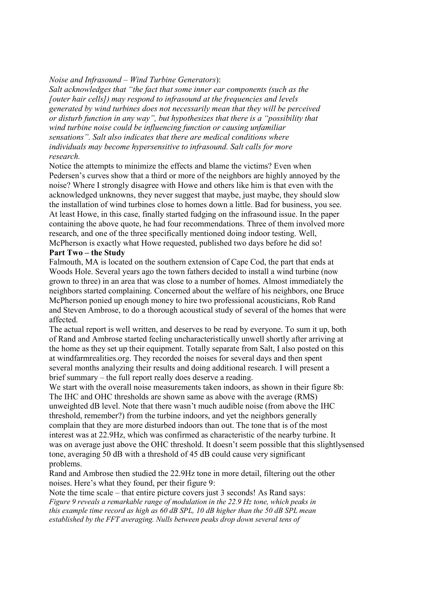### Noise and Infrasound – Wind Turbine Generators):

Salt acknowledges that "the fact that some inner ear components (such as the [outer hair cells]) may respond to infrasound at the frequencies and levels generated by wind turbines does not necessarily mean that they will be perceived or disturb function in any way", but hypothesizes that there is a "possibility that wind turbine noise could be influencing function or causing unfamiliar sensations". Salt also indicates that there are medical conditions where individuals may become hypersensitive to infrasound. Salt calls for more research.

Notice the attempts to minimize the effects and blame the victims? Even when Pedersen's curves show that a third or more of the neighbors are highly annoyed by the noise? Where I strongly disagree with Howe and others like him is that even with the acknowledged unknowns, they never suggest that maybe, just maybe, they should slow the installation of wind turbines close to homes down a little. Bad for business, you see. At least Howe, in this case, finally started fudging on the infrasound issue. In the paper containing the above quote, he had four recommendations. Three of them involved more research, and one of the three specifically mentioned doing indoor testing. Well, McPherson is exactly what Howe requested, published two days before he did so!

# Part Two – the Study

Falmouth, MA is located on the southern extension of Cape Cod, the part that ends at Woods Hole. Several years ago the town fathers decided to install a wind turbine (now grown to three) in an area that was close to a number of homes. Almost immediately the neighbors started complaining. Concerned about the welfare of his neighbors, one Bruce McPherson ponied up enough money to hire two professional acousticians, Rob Rand and Steven Ambrose, to do a thorough acoustical study of several of the homes that were affected.

The actual report is well written, and deserves to be read by everyone. To sum it up, both of Rand and Ambrose started feeling uncharacteristically unwell shortly after arriving at the home as they set up their equipment. Totally separate from Salt, I also posted on this at windfarmrealities.org. They recorded the noises for several days and then spent several months analyzing their results and doing additional research. I will present a brief summary – the full report really does deserve a reading.

We start with the overall noise measurements taken indoors, as shown in their figure 8b: The IHC and OHC thresholds are shown same as above with the average (RMS) unweighted dB level. Note that there wasn't much audible noise (from above the IHC threshold, remember?) from the turbine indoors, and yet the neighbors generally complain that they are more disturbed indoors than out. The tone that is of the most interest was at 22.9Hz, which was confirmed as characteristic of the nearby turbine. It was on average just above the OHC threshold. It doesn't seem possible that this slightlysensed tone, averaging 50 dB with a threshold of 45 dB could cause very significant problems.

Rand and Ambrose then studied the 22.9Hz tone in more detail, filtering out the other noises. Here's what they found, per their figure 9:

Note the time scale – that entire picture covers just 3 seconds! As Rand says: Figure 9 reveals a remarkable range of modulation in the 22.9 Hz tone, which peaks in this example time record as high as 60 dB SPL, 10 dB higher than the 50 dB SPL mean established by the FFT averaging. Nulls between peaks drop down several tens of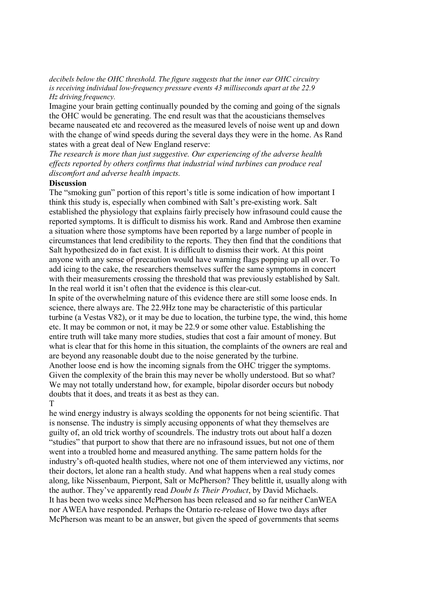#### decibels below the OHC threshold. The figure suggests that the inner ear OHC circuitry is receiving individual low-frequency pressure events 43 milliseconds apart at the 22.9 Hz driving frequency.

Imagine your brain getting continually pounded by the coming and going of the signals the OHC would be generating. The end result was that the acousticians themselves became nauseated etc and recovered as the measured levels of noise went up and down with the change of wind speeds during the several days they were in the home. As Rand states with a great deal of New England reserve:

The research is more than just suggestive. Our experiencing of the adverse health effects reported by others confirms that industrial wind turbines can produce real discomfort and adverse health impacts.

#### Discussion

The "smoking gun" portion of this report's title is some indication of how important I think this study is, especially when combined with Salt's pre-existing work. Salt established the physiology that explains fairly precisely how infrasound could cause the reported symptoms. It is difficult to dismiss his work. Rand and Ambrose then examine a situation where those symptoms have been reported by a large number of people in circumstances that lend credibility to the reports. They then find that the conditions that Salt hypothesized do in fact exist. It is difficult to dismiss their work. At this point anyone with any sense of precaution would have warning flags popping up all over. To add icing to the cake, the researchers themselves suffer the same symptoms in concert with their measurements crossing the threshold that was previously established by Salt. In the real world it isn't often that the evidence is this clear-cut.

In spite of the overwhelming nature of this evidence there are still some loose ends. In science, there always are. The 22.9Hz tone may be characteristic of this particular turbine (a Vestas V82), or it may be due to location, the turbine type, the wind, this home etc. It may be common or not, it may be 22.9 or some other value. Establishing the entire truth will take many more studies, studies that cost a fair amount of money. But what is clear that for this home in this situation, the complaints of the owners are real and are beyond any reasonable doubt due to the noise generated by the turbine. Another loose end is how the incoming signals from the OHC trigger the symptoms. Given the complexity of the brain this may never be wholly understood. But so what? We may not totally understand how, for example, bipolar disorder occurs but nobody doubts that it does, and treats it as best as they can. T

he wind energy industry is always scolding the opponents for not being scientific. That is nonsense. The industry is simply accusing opponents of what they themselves are guilty of, an old trick worthy of scoundrels. The industry trots out about half a dozen "studies" that purport to show that there are no infrasound issues, but not one of them went into a troubled home and measured anything. The same pattern holds for the industry's oft-quoted health studies, where not one of them interviewed any victims, nor their doctors, let alone ran a health study. And what happens when a real study comes along, like Nissenbaum, Pierpont, Salt or McPherson? They belittle it, usually along with the author. They've apparently read Doubt Is Their Product, by David Michaels. It has been two weeks since McPherson has been released and so far neither CanWEA nor AWEA have responded. Perhaps the Ontario re-release of Howe two days after McPherson was meant to be an answer, but given the speed of governments that seems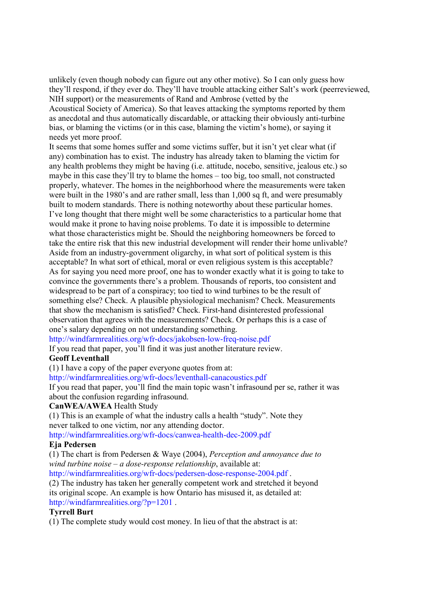unlikely (even though nobody can figure out any other motive). So I can only guess how they'll respond, if they ever do. They'll have trouble attacking either Salt's work (peerreviewed, NIH support) or the measurements of Rand and Ambrose (vetted by the

Acoustical Society of America). So that leaves attacking the symptoms reported by them as anecdotal and thus automatically discardable, or attacking their obviously anti-turbine bias, or blaming the victims (or in this case, blaming the victim's home), or saying it needs yet more proof.

It seems that some homes suffer and some victims suffer, but it isn't yet clear what (if any) combination has to exist. The industry has already taken to blaming the victim for any health problems they might be having (i.e. attitude, nocebo, sensitive, jealous etc.) so maybe in this case they'll try to blame the homes – too big, too small, not constructed properly, whatever. The homes in the neighborhood where the measurements were taken were built in the 1980's and are rather small, less than 1,000 sq ft, and were presumably built to modern standards. There is nothing noteworthy about these particular homes. I've long thought that there might well be some characteristics to a particular home that would make it prone to having noise problems. To date it is impossible to determine what those characteristics might be. Should the neighboring homeowners be forced to take the entire risk that this new industrial development will render their home unlivable? Aside from an industry-government oligarchy, in what sort of political system is this acceptable? In what sort of ethical, moral or even religious system is this acceptable? As for saying you need more proof, one has to wonder exactly what it is going to take to convince the governments there's a problem. Thousands of reports, too consistent and widespread to be part of a conspiracy; too tied to wind turbines to be the result of something else? Check. A plausible physiological mechanism? Check. Measurements that show the mechanism is satisfied? Check. First-hand disinterested professional observation that agrees with the measurements? Check. Or perhaps this is a case of one's salary depending on not understanding something.

http://windfarmrealities.org/wfr-docs/jakobsen-low-freq-noise.pdf

If you read that paper, you'll find it was just another literature review.

# Geoff Leventhall

(1) I have a copy of the paper everyone quotes from at:

http://windfarmrealities.org/wfr-docs/leventhall-canacoustics.pdf

If you read that paper, you'll find the main topic wasn't infrasound per se, rather it was about the confusion regarding infrasound.

# CanWEA/AWEA Health Study

(1) This is an example of what the industry calls a health "study". Note they never talked to one victim, nor any attending doctor.

http://windfarmrealities.org/wfr-docs/canwea-health-dec-2009.pdf

# Eja Pedersen

(1) The chart is from Pedersen & Waye (2004), Perception and annoyance due to wind turbine noise –  $a$  dose-response relationship, available at:

http://windfarmrealities.org/wfr-docs/pedersen-dose-response-2004.pdf .

(2) The industry has taken her generally competent work and stretched it beyond its original scope. An example is how Ontario has misused it, as detailed at: http://windfarmrealities.org/?p=1201 .

# Tyrrell Burt

(1) The complete study would cost money. In lieu of that the abstract is at: